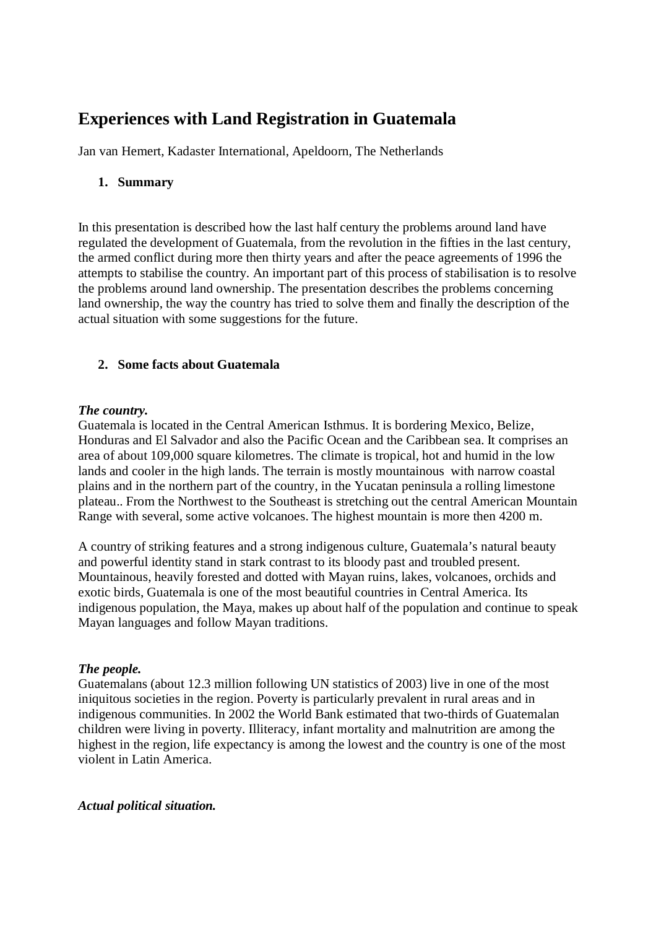# **Experiences with Land Registration in Guatemala**

Jan van Hemert, Kadaster International, Apeldoorn, The Netherlands

# **1. Summary**

In this presentation is described how the last half century the problems around land have regulated the development of Guatemala, from the revolution in the fifties in the last century, the armed conflict during more then thirty years and after the peace agreements of 1996 the attempts to stabilise the country. An important part of this process of stabilisation is to resolve the problems around land ownership. The presentation describes the problems concerning land ownership, the way the country has tried to solve them and finally the description of the actual situation with some suggestions for the future.

# **2. Some facts about Guatemala**

## *The country.*

Guatemala is located in the Central American Isthmus. It is bordering Mexico, Belize, Honduras and El Salvador and also the Pacific Ocean and the Caribbean sea. It comprises an area of about 109,000 square kilometres. The climate is tropical, hot and humid in the low lands and cooler in the high lands. The terrain is mostly mountainous with narrow coastal plains and in the northern part of the country, in the Yucatan peninsula a rolling limestone plateau.. From the Northwest to the Southeast is stretching out the central American Mountain Range with several, some active volcanoes. The highest mountain is more then 4200 m.

A country of striking features and a strong indigenous culture, Guatemala's natural beauty and powerful identity stand in stark contrast to its bloody past and troubled present. Mountainous, heavily forested and dotted with Mayan ruins, lakes, volcanoes, orchids and exotic birds, Guatemala is one of the most beautiful countries in Central America. Its indigenous population, the Maya, makes up about half of the population and continue to speak Mayan languages and follow Mayan traditions.

## *The people.*

Guatemalans (about 12.3 million following UN statistics of 2003) live in one of the most iniquitous societies in the region. Poverty is particularly prevalent in rural areas and in indigenous communities. In 2002 the World Bank estimated that two-thirds of Guatemalan children were living in poverty. Illiteracy, infant mortality and malnutrition are among the highest in the region, life expectancy is among the lowest and the country is one of the most violent in Latin America.

## *Actual political situation.*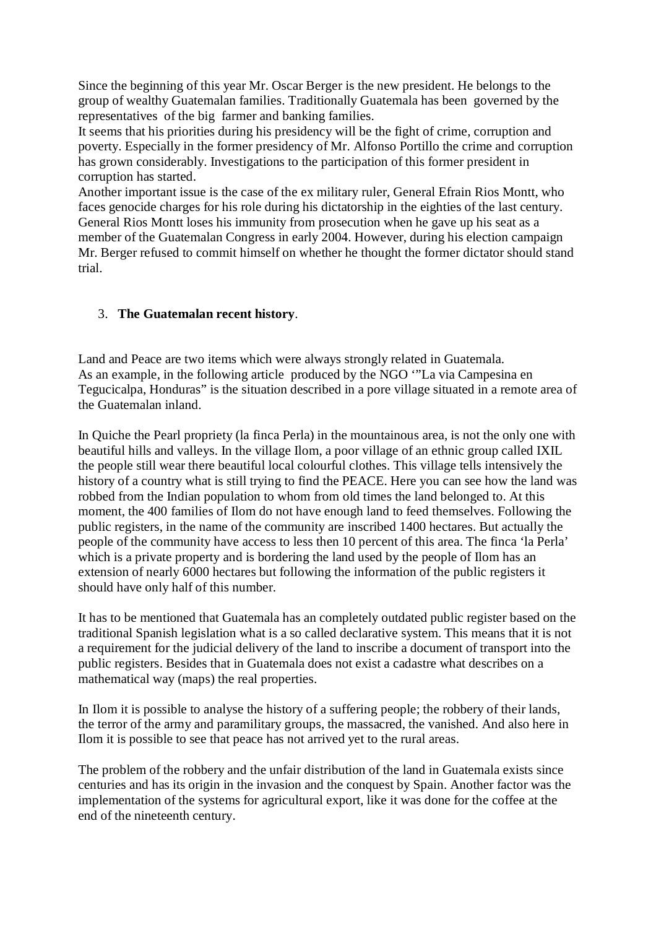Since the beginning of this year Mr. Oscar Berger is the new president. He belongs to the group of wealthy Guatemalan families. Traditionally Guatemala has been governed by the representatives of the big farmer and banking families.

It seems that his priorities during his presidency will be the fight of crime, corruption and poverty. Especially in the former presidency of Mr. Alfonso Portillo the crime and corruption has grown considerably. Investigations to the participation of this former president in corruption has started.

Another important issue is the case of the ex military ruler, General Efrain Rios Montt, who faces genocide charges for his role during his dictatorship in the eighties of the last century. General Rios Montt loses his immunity from prosecution when he gave up his seat as a member of the Guatemalan Congress in early 2004. However, during his election campaign Mr. Berger refused to commit himself on whether he thought the former dictator should stand trial.

#### 3. **The Guatemalan recent history**.

Land and Peace are two items which were always strongly related in Guatemala. As an example, in the following article produced by the NGO '"La via Campesina en Tegucicalpa, Honduras" is the situation described in a pore village situated in a remote area of the Guatemalan inland.

In Quiche the Pearl propriety (la finca Perla) in the mountainous area, is not the only one with beautiful hills and valleys. In the village Ilom, a poor village of an ethnic group called IXIL the people still wear there beautiful local colourful clothes. This village tells intensively the history of a country what is still trying to find the PEACE. Here you can see how the land was robbed from the Indian population to whom from old times the land belonged to. At this moment, the 400 families of Ilom do not have enough land to feed themselves. Following the public registers, in the name of the community are inscribed 1400 hectares. But actually the people of the community have access to less then 10 percent of this area. The finca 'la Perla' which is a private property and is bordering the land used by the people of Ilom has an extension of nearly 6000 hectares but following the information of the public registers it should have only half of this number.

It has to be mentioned that Guatemala has an completely outdated public register based on the traditional Spanish legislation what is a so called declarative system. This means that it is not a requirement for the judicial delivery of the land to inscribe a document of transport into the public registers. Besides that in Guatemala does not exist a cadastre what describes on a mathematical way (maps) the real properties.

In Ilom it is possible to analyse the history of a suffering people; the robbery of their lands, the terror of the army and paramilitary groups, the massacred, the vanished. And also here in Ilom it is possible to see that peace has not arrived yet to the rural areas.

The problem of the robbery and the unfair distribution of the land in Guatemala exists since centuries and has its origin in the invasion and the conquest by Spain. Another factor was the implementation of the systems for agricultural export, like it was done for the coffee at the end of the nineteenth century.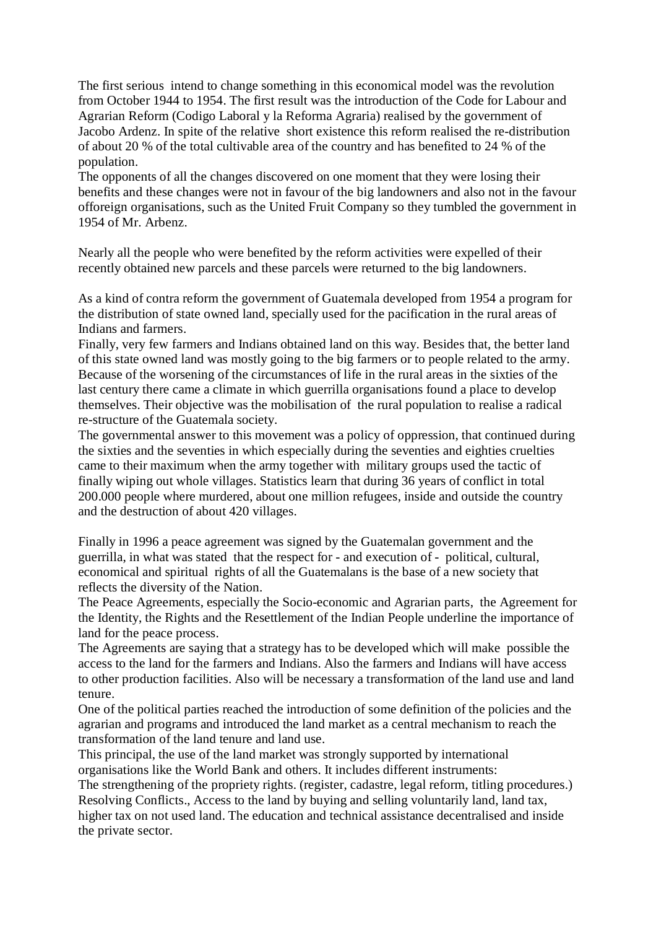The first serious intend to change something in this economical model was the revolution from October 1944 to 1954. The first result was the introduction of the Code for Labour and Agrarian Reform (Codigo Laboral y la Reforma Agraria) realised by the government of Jacobo Ardenz. In spite of the relative short existence this reform realised the re-distribution of about 20 % of the total cultivable area of the country and has benefited to 24 % of the population.

The opponents of all the changes discovered on one moment that they were losing their benefits and these changes were not in favour of the big landowners and also not in the favour offoreign organisations, such as the United Fruit Company so they tumbled the government in 1954 of Mr. Arbenz.

Nearly all the people who were benefited by the reform activities were expelled of their recently obtained new parcels and these parcels were returned to the big landowners.

As a kind of contra reform the government of Guatemala developed from 1954 a program for the distribution of state owned land, specially used for the pacification in the rural areas of Indians and farmers.

Finally, very few farmers and Indians obtained land on this way. Besides that, the better land of this state owned land was mostly going to the big farmers or to people related to the army. Because of the worsening of the circumstances of life in the rural areas in the sixties of the last century there came a climate in which guerrilla organisations found a place to develop themselves. Their objective was the mobilisation of the rural population to realise a radical re-structure of the Guatemala society.

The governmental answer to this movement was a policy of oppression, that continued during the sixties and the seventies in which especially during the seventies and eighties cruelties came to their maximum when the army together with military groups used the tactic of finally wiping out whole villages. Statistics learn that during 36 years of conflict in total 200.000 people where murdered, about one million refugees, inside and outside the country and the destruction of about 420 villages.

Finally in 1996 a peace agreement was signed by the Guatemalan government and the guerrilla, in what was stated that the respect for - and execution of - political, cultural, economical and spiritual rights of all the Guatemalans is the base of a new society that reflects the diversity of the Nation.

The Peace Agreements, especially the Socio-economic and Agrarian parts, the Agreement for the Identity, the Rights and the Resettlement of the Indian People underline the importance of land for the peace process.

The Agreements are saying that a strategy has to be developed which will make possible the access to the land for the farmers and Indians. Also the farmers and Indians will have access to other production facilities. Also will be necessary a transformation of the land use and land tenure.

One of the political parties reached the introduction of some definition of the policies and the agrarian and programs and introduced the land market as a central mechanism to reach the transformation of the land tenure and land use.

This principal, the use of the land market was strongly supported by international organisations like the World Bank and others. It includes different instruments:

The strengthening of the propriety rights. (register, cadastre, legal reform, titling procedures.) Resolving Conflicts., Access to the land by buying and selling voluntarily land, land tax, higher tax on not used land. The education and technical assistance decentralised and inside the private sector.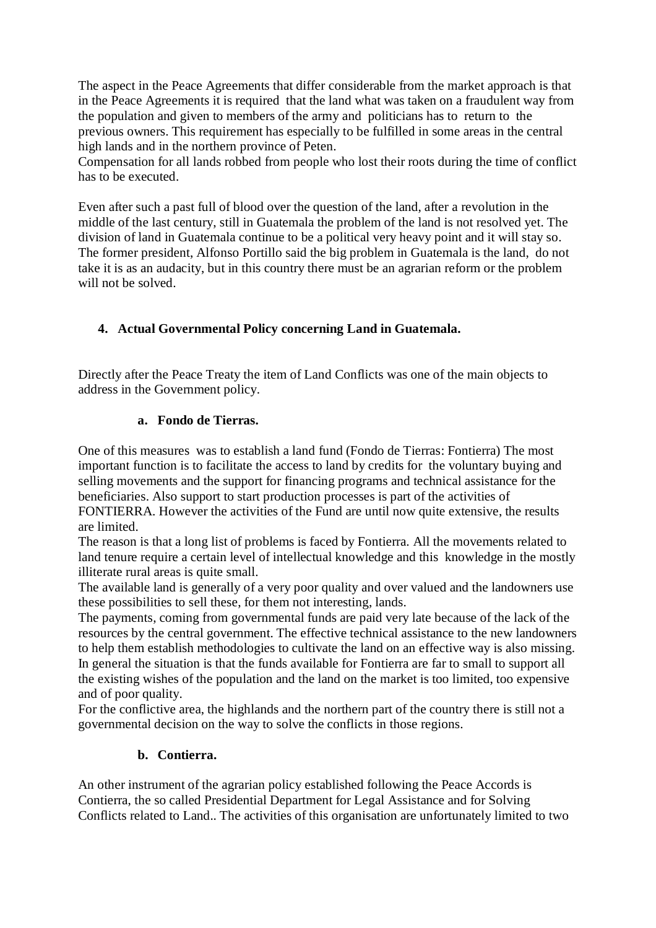The aspect in the Peace Agreements that differ considerable from the market approach is that in the Peace Agreements it is required that the land what was taken on a fraudulent way from the population and given to members of the army and politicians has to return to the previous owners. This requirement has especially to be fulfilled in some areas in the central high lands and in the northern province of Peten.

Compensation for all lands robbed from people who lost their roots during the time of conflict has to be executed.

Even after such a past full of blood over the question of the land, after a revolution in the middle of the last century, still in Guatemala the problem of the land is not resolved yet. The division of land in Guatemala continue to be a political very heavy point and it will stay so. The former president, Alfonso Portillo said the big problem in Guatemala is the land, do not take it is as an audacity, but in this country there must be an agrarian reform or the problem will not be solved.

# **4. Actual Governmental Policy concerning Land in Guatemala.**

Directly after the Peace Treaty the item of Land Conflicts was one of the main objects to address in the Government policy.

#### **a. Fondo de Tierras.**

One of this measures was to establish a land fund (Fondo de Tierras: Fontierra) The most important function is to facilitate the access to land by credits for the voluntary buying and selling movements and the support for financing programs and technical assistance for the beneficiaries. Also support to start production processes is part of the activities of

FONTIERRA. However the activities of the Fund are until now quite extensive, the results are limited.

The reason is that a long list of problems is faced by Fontierra. All the movements related to land tenure require a certain level of intellectual knowledge and this knowledge in the mostly illiterate rural areas is quite small.

The available land is generally of a very poor quality and over valued and the landowners use these possibilities to sell these, for them not interesting, lands.

The payments, coming from governmental funds are paid very late because of the lack of the resources by the central government. The effective technical assistance to the new landowners to help them establish methodologies to cultivate the land on an effective way is also missing. In general the situation is that the funds available for Fontierra are far to small to support all the existing wishes of the population and the land on the market is too limited, too expensive and of poor quality.

For the conflictive area, the highlands and the northern part of the country there is still not a governmental decision on the way to solve the conflicts in those regions.

## **b. Contierra.**

An other instrument of the agrarian policy established following the Peace Accords is Contierra, the so called Presidential Department for Legal Assistance and for Solving Conflicts related to Land.. The activities of this organisation are unfortunately limited to two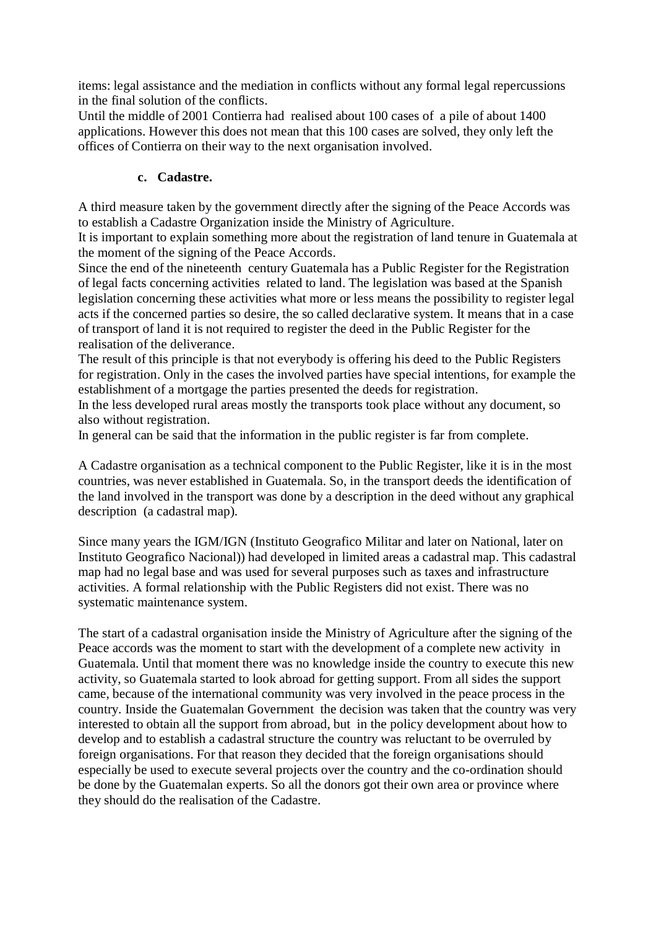items: legal assistance and the mediation in conflicts without any formal legal repercussions in the final solution of the conflicts.

Until the middle of 2001 Contierra had realised about 100 cases of a pile of about 1400 applications. However this does not mean that this 100 cases are solved, they only left the offices of Contierra on their way to the next organisation involved.

## **c. Cadastre.**

A third measure taken by the government directly after the signing of the Peace Accords was to establish a Cadastre Organization inside the Ministry of Agriculture.

It is important to explain something more about the registration of land tenure in Guatemala at the moment of the signing of the Peace Accords.

Since the end of the nineteenth century Guatemala has a Public Register for the Registration of legal facts concerning activities related to land. The legislation was based at the Spanish legislation concerning these activities what more or less means the possibility to register legal acts if the concerned parties so desire, the so called declarative system. It means that in a case of transport of land it is not required to register the deed in the Public Register for the realisation of the deliverance.

The result of this principle is that not everybody is offering his deed to the Public Registers for registration. Only in the cases the involved parties have special intentions, for example the establishment of a mortgage the parties presented the deeds for registration.

In the less developed rural areas mostly the transports took place without any document, so also without registration.

In general can be said that the information in the public register is far from complete.

A Cadastre organisation as a technical component to the Public Register, like it is in the most countries, was never established in Guatemala. So, in the transport deeds the identification of the land involved in the transport was done by a description in the deed without any graphical description (a cadastral map).

Since many years the IGM/IGN (Instituto Geografico Militar and later on National, later on Instituto Geografico Nacional)) had developed in limited areas a cadastral map. This cadastral map had no legal base and was used for several purposes such as taxes and infrastructure activities. A formal relationship with the Public Registers did not exist. There was no systematic maintenance system.

The start of a cadastral organisation inside the Ministry of Agriculture after the signing of the Peace accords was the moment to start with the development of a complete new activity in Guatemala. Until that moment there was no knowledge inside the country to execute this new activity, so Guatemala started to look abroad for getting support. From all sides the support came, because of the international community was very involved in the peace process in the country. Inside the Guatemalan Government the decision was taken that the country was very interested to obtain all the support from abroad, but in the policy development about how to develop and to establish a cadastral structure the country was reluctant to be overruled by foreign organisations. For that reason they decided that the foreign organisations should especially be used to execute several projects over the country and the co-ordination should be done by the Guatemalan experts. So all the donors got their own area or province where they should do the realisation of the Cadastre.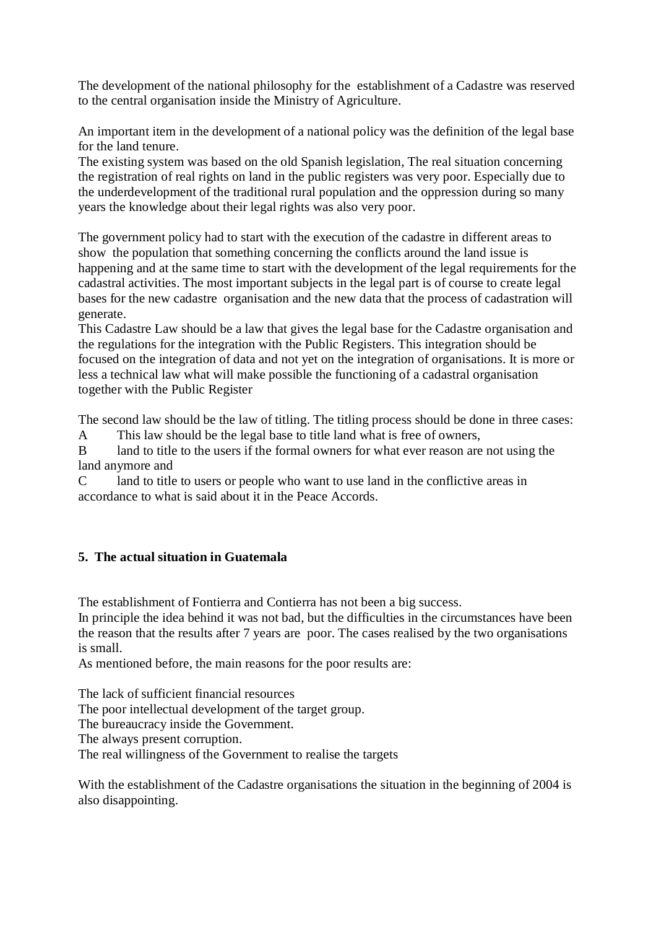The development of the national philosophy for the establishment of a Cadastre was reserved to the central organisation inside the Ministry of Agriculture.

An important item in the development of a national policy was the definition of the legal base for the land tenure.

The existing system was based on the old Spanish legislation, The real situation concerning the registration of real rights on land in the public registers was very poor. Especially due to the underdevelopment of the traditional rural population and the oppression during so many years the knowledge about their legal rights was also very poor.

The government policy had to start with the execution of the cadastre in different areas to show the population that something concerning the conflicts around the land issue is happening and at the same time to start with the development of the legal requirements for the cadastral activities. The most important subjects in the legal part is of course to create legal bases for the new cadastre organisation and the new data that the process of cadastration will generate.

This Cadastre Law should be a law that gives the legal base for the Cadastre organisation and the regulations for the integration with the Public Registers. This integration should be focused on the integration of data and not yet on the integration of organisations. It is more or less a technical law what will make possible the functioning of a cadastral organisation together with the Public Register

The second law should be the law of titling. The titling process should be done in three cases:

A This law should be the legal base to title land what is free of owners,

B land to title to the users if the formal owners for what ever reason are not using the land anymore and

C land to title to users or people who want to use land in the conflictive areas in accordance to what is said about it in the Peace Accords.

# **5. The actual situation in Guatemala**

The establishment of Fontierra and Contierra has not been a big success.

In principle the idea behind it was not bad, but the difficulties in the circumstances have been the reason that the results after 7 years are poor. The cases realised by the two organisations is small.

As mentioned before, the main reasons for the poor results are:

The lack of sufficient financial resources The poor intellectual development of the target group. The bureaucracy inside the Government. The always present corruption. The real willingness of the Government to realise the targets

With the establishment of the Cadastre organisations the situation in the beginning of 2004 is also disappointing.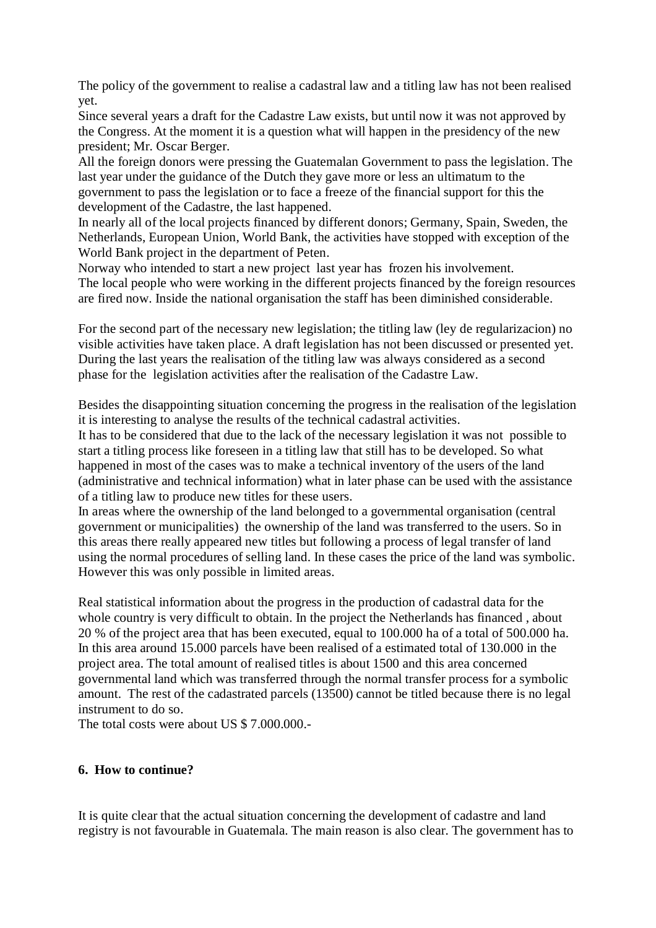The policy of the government to realise a cadastral law and a titling law has not been realised yet.

Since several years a draft for the Cadastre Law exists, but until now it was not approved by the Congress. At the moment it is a question what will happen in the presidency of the new president; Mr. Oscar Berger.

All the foreign donors were pressing the Guatemalan Government to pass the legislation. The last year under the guidance of the Dutch they gave more or less an ultimatum to the government to pass the legislation or to face a freeze of the financial support for this the development of the Cadastre, the last happened.

In nearly all of the local projects financed by different donors; Germany, Spain, Sweden, the Netherlands, European Union, World Bank, the activities have stopped with exception of the World Bank project in the department of Peten.

Norway who intended to start a new project last year has frozen his involvement. The local people who were working in the different projects financed by the foreign resources are fired now. Inside the national organisation the staff has been diminished considerable.

For the second part of the necessary new legislation; the titling law (ley de regularizacion) no visible activities have taken place. A draft legislation has not been discussed or presented yet. During the last years the realisation of the titling law was always considered as a second phase for the legislation activities after the realisation of the Cadastre Law.

Besides the disappointing situation concerning the progress in the realisation of the legislation it is interesting to analyse the results of the technical cadastral activities.

It has to be considered that due to the lack of the necessary legislation it was not possible to start a titling process like foreseen in a titling law that still has to be developed. So what happened in most of the cases was to make a technical inventory of the users of the land (administrative and technical information) what in later phase can be used with the assistance of a titling law to produce new titles for these users.

In areas where the ownership of the land belonged to a governmental organisation (central government or municipalities) the ownership of the land was transferred to the users. So in this areas there really appeared new titles but following a process of legal transfer of land using the normal procedures of selling land. In these cases the price of the land was symbolic. However this was only possible in limited areas.

Real statistical information about the progress in the production of cadastral data for the whole country is very difficult to obtain. In the project the Netherlands has financed , about 20 % of the project area that has been executed, equal to 100.000 ha of a total of 500.000 ha. In this area around 15.000 parcels have been realised of a estimated total of 130.000 in the project area. The total amount of realised titles is about 1500 and this area concerned governmental land which was transferred through the normal transfer process for a symbolic amount. The rest of the cadastrated parcels (13500) cannot be titled because there is no legal instrument to do so.

The total costs were about US \$ 7.000.000.-

#### **6. How to continue?**

It is quite clear that the actual situation concerning the development of cadastre and land registry is not favourable in Guatemala. The main reason is also clear. The government has to